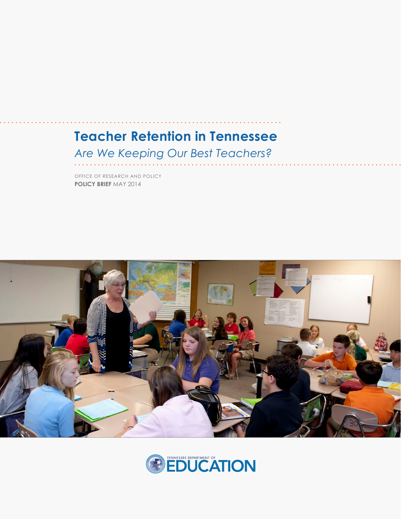# **Teacher Retention in Tennessee**

#### *Are We Keeping Our Best Teachers?*

**POLICY BRIEF** MAY 2014 OFFICE OF RESEARCH AND POLICY



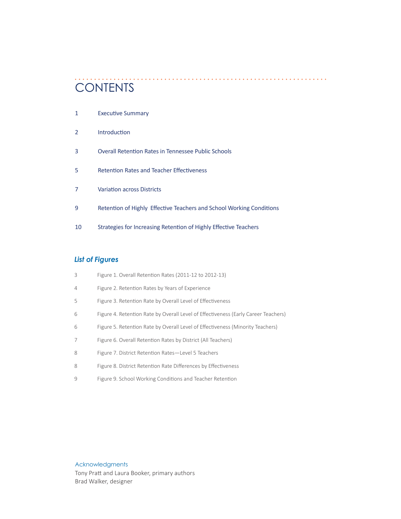# **CONTENTS**

| 1             | <b>Executive Summary</b>                                             |
|---------------|----------------------------------------------------------------------|
| $\mathcal{P}$ | Introduction                                                         |
| 3             | Overall Retention Rates in Tennessee Public Schools                  |
| 5             | <b>Retention Rates and Teacher Effectiveness</b>                     |
| 7             | <b>Variation across Districts</b>                                    |
| 9             | Retention of Highly Effective Teachers and School Working Conditions |
| 10            | Strategies for Increasing Retention of Highly Effective Teachers     |

#### *List of Figures*

| 3       | Figure 1. Overall Retention Rates (2011-12 to 2012-13)                             |
|---------|------------------------------------------------------------------------------------|
| 4       | Figure 2. Retention Rates by Years of Experience                                   |
| 5       | Figure 3. Retention Rate by Overall Level of Effectiveness                         |
| 6       | Figure 4. Retention Rate by Overall Level of Effectiveness (Early Career Teachers) |
| 6       | Figure 5. Retention Rate by Overall Level of Effectiveness (Minority Teachers)     |
|         | Figure 6. Overall Retention Rates by District (All Teachers)                       |
| 8       | Figure 7. District Retention Rates-Level 5 Teachers                                |
| 8       | Figure 8. District Retention Rate Differences by Effectiveness                     |
| $\circ$ | Figure 9. School Working Conditions and Teacher Retention                          |
|         |                                                                                    |

Acknowledgments Tony Pratt and Laura Booker, primary authors

Brad Walker, designer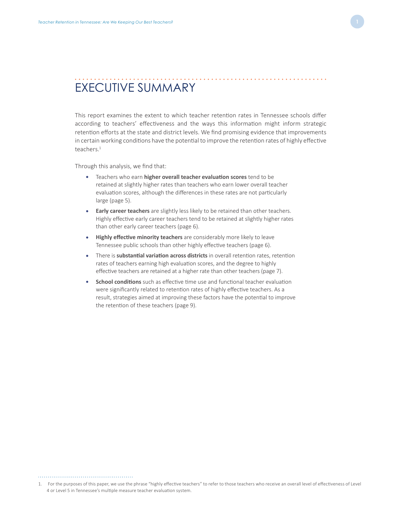#### EXECUTIVE SUMMARY

This report examines the extent to which teacher retention rates in Tennessee schools differ according to teachers' effectiveness and the ways this information might inform strategic retention efforts at the state and district levels. We find promising evidence that improvements in certain working conditions have the potential to improve the retention rates of highly effective teachers.<sup>1</sup>

Through this analysis, we find that:

- Teachers who earn **higher overall teacher evaluation scores** tend to be retained at slightly higher rates than teachers who earn lower overall teacher evaluation scores, although the differences in these rates are not particularly large (page 5).
- **Early career teachers** are slightly less likely to be retained than other teachers. Highly effective early career teachers tend to be retained at slightly higher rates than other early career teachers (page 6).
- **Highly effective minority teachers** are considerably more likely to leave Tennessee public schools than other highly effective teachers (page 6).
- There is **substantial variation across districts** in overall retention rates, retention rates of teachers earning high evaluation scores, and the degree to highly effective teachers are retained at a higher rate than other teachers (page 7).
- **School conditions** such as effective time use and functional teacher evaluation were significantly related to retention rates of highly effective teachers. As a result, strategies aimed at improving these factors have the potential to improve the retention of these teachers (page 9).

<sup>1.</sup> For the purposes of this paper, we use the phrase "highly effective teachers" to refer to those teachers who receive an overall level of effectiveness of Level 4 or Level 5 in Tennessee's multiple measure teacher evaluation system.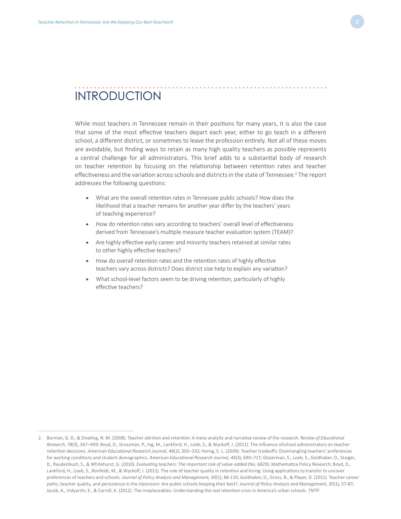## INTRODUCTION

While most teachers in Tennessee remain in their positions for many years, it is also the case that some of the most effective teachers depart each year, either to go teach in a different school, a different district, or sometimes to leave the profession entirely. Not all of these moves are avoidable, but finding ways to retain as many high quality teachers as possible represents a central challenge for all administrators. This brief adds to a substantial body of research on teacher retention by focusing on the relationship between retention rates and teacher effectiveness and the variation across schools and districts in the state of Tennessee.<sup>2</sup> The report addresses the following questions:

- What are the overall retention rates in Tennessee public schools? How does the likelihood that a teacher remains for another year differ by the teachers' years of teaching experience?
- How do retention rates vary according to teachers' overall level of effectiveness derived from Tennessee's multiple measure teacher evaluation system (TEAM)?
- Are highly effective early career and minority teachers retained at similar rates to other highly effective teachers?
- How do overall retention rates and the retention rates of highly effective teachers vary across districts? Does district size help to explain any variation?
- What school-level factors seem to be driving retention, particularly of highly effective teachers?

<sup>2.</sup> Borman, G. D., & Dowling, N. M. (2008). Teacher attrition and retention: A meta-analytic and narrative review of the research. *Review of Educational Research, 78*(3), 367–409; Boyd, D., Grossman, P., Ing, M., Lankford, H., Loeb, S., & Wyckoff, J. (2011). The influence ofschool administrators on teacher retention decisions. *American Educational Research Journal, 48*(2), 303–333; Horng, E. L. (2009). Teacher tradeoffs: Disentangling teachers' preferences for working conditions and student demographics. *American Educational Research Journal, 46*(3), 690–717; Glazerman, S., Loeb, S., Goldhaber, D., Staiger, D., Raudenbush, S., & Whitehurst, G. (2010). *Evaluating teachers: The important role of value-added* (No. 6829). Mathematica Policy Research; Boyd, D., Lankford, H., Loeb, S., Ronfeldt, M., & Wyckoff, J. (2011). The role of teacher quality in retention and hiring: Using applications to transfer to uncover preferences of teachers and schools. *Journal of Policy Analysis and Management, 30*(1), 88-110; Goldhaber, D., Gross, B., & Player, D. (2011). Teacher career paths, teacher quality, and persistence in the classroom: Are public schools keeping their best?. *Journal of Policy Analysis and Management, 30*(1), 57-87; Jacob, A., Vidyarthi, E., & Carroll, K. (2012). The irreplaceables: Understanding the real retention crisis in America's urban schools. *TNTP*.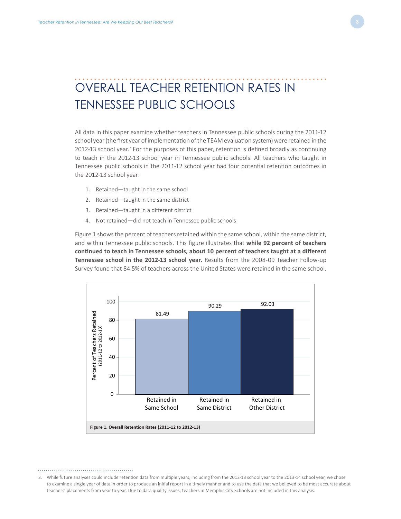## OVERALL TEACHER RETENTION RATES IN TENNESSEE PUBLIC SCHOOLS

All data in this paper examine whether teachers in Tennessee public schools during the 2011-12 school year (the first year of implementation of the TEAM evaluation system) were retained in the 2012-13 school year.<sup>3</sup> For the purposes of this paper, retention is defined broadly as continuing to teach in the 2012-13 school year in Tennessee public schools. All teachers who taught in Tennessee public schools in the 2011-12 school year had four potential retention outcomes in the 2012-13 school year:

- 1. Retained—taught in the same school
- 2. Retained—taught in the same district
- 3. Retained—taught in a different district
- 4. Not retained—did not teach in Tennessee public schools

Figure 1 shows the percent of teachers retained within the same school, within the same district, and within Tennessee public schools. This figure illustrates that **while 92 percent of teachers continued to teach in Tennessee schools, about 10 percent of teachers taught at a different Tennessee school in the 2012-13 school year.** Results from the 2008-09 Teacher Follow-up Survey found that 84.5% of teachers across the United States were retained in the same school.



3. While future analyses could include retention data from multiple years, including from the 2012-13 school year to the 2013-14 school year, we chose to examine a single year of data in order to produce an initial report in a timely manner and to use the data that we believed to be most accurate about teachers' placements from year to year. Due to data quality issues, teachers in Memphis City Schools are not included in this analysis.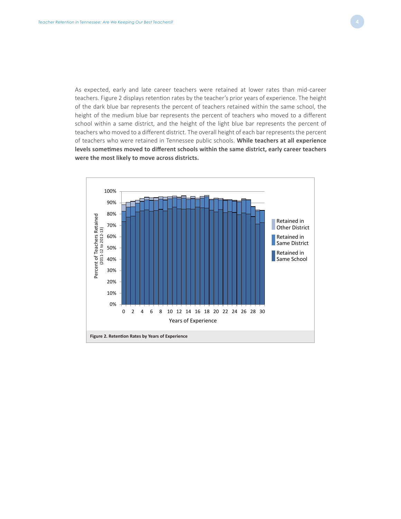As expected, early and late career teachers were retained at lower rates than mid-career teachers. Figure 2 displays retention rates by the teacher's prior years of experience. The height of the dark blue bar represents the percent of teachers retained within the same school, the height of the medium blue bar represents the percent of teachers who moved to a different school within a same district, and the height of the light blue bar represents the percent of teachers who moved to a different district. The overall height of each bar represents the percent of teachers who were retained in Tennessee public schools. **While teachers at all experience levels sometimes moved to different schools within the same district, early career teachers were the most likely to move across districts.**

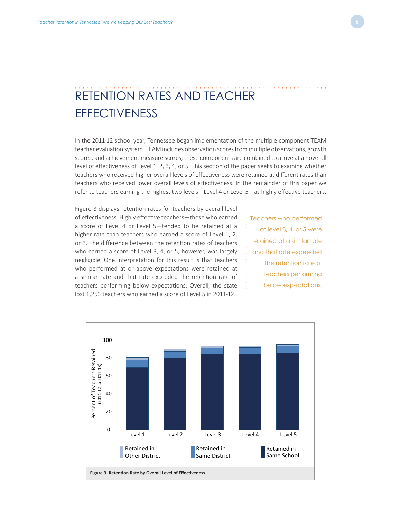# RETENTION RATES AND TEACHER **EFFECTIVENESS**

In the 2011-12 school year, Tennessee began implementation of the multiple component TEAM teacher evaluation system. TEAM includes observation scores from multiple observations, growth scores, and achievement measure scores; these components are combined to arrive at an overall level of effectiveness of Level 1, 2, 3, 4, or 5. This section of the paper seeks to examine whether teachers who received higher overall levels of effectiveness were retained at different rates than teachers who received lower overall levels of effectiveness. In the remainder of this paper we refer to teachers earning the highest two levels—Level 4 or Level 5—as highly effective teachers.

Figure 3 displays retention rates for teachers by overall level of effectiveness. Highly effective teachers—those who earned a score of Level 4 or Level 5—tended to be retained at a higher rate than teachers who earned a score of Level 1, 2, or 3. The difference between the retention rates of teachers who earned a score of Level 3, 4, or 5, however, was largely negligible. One interpretation for this result is that teachers who performed at or above expectations were retained at a similar rate and that rate exceeded the retention rate of teachers performing below expectations. Overall, the state lost 1,253 teachers who earned a score of Level 5 in 2011-12.

Teachers who performed at level 3, 4, or 5 were retained at a similar rate and that rate exceeded the retention rate of teachers performing below expectations.

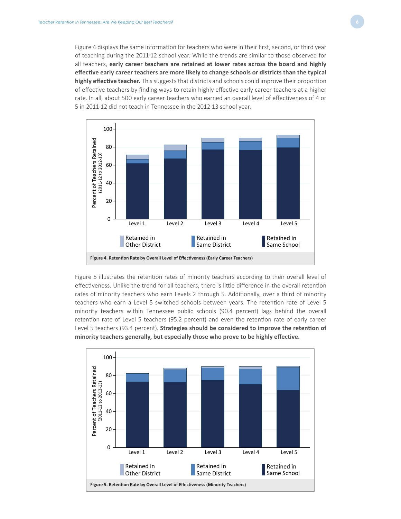Figure 4 displays the same information for teachers who were in their first, second, or third year of teaching during the 2011-12 school year. While the trends are similar to those observed for all teachers, **early career teachers are retained at lower rates across the board and highly effective early career teachers are more likely to change schools or districts than the typical highly effective teacher.** This suggests that districts and schools could improve their proportion of effective teachers by finding ways to retain highly effective early career teachers at a higher rate. In all, about 500 early career teachers who earned an overall level of effectiveness of 4 or 5 in 2011-12 did not teach in Tennessee in the 2012-13 school year.



Figure 5 illustrates the retention rates of minority teachers according to their overall level of effectiveness. Unlike the trend for all teachers, there is little difference in the overall retention rates of minority teachers who earn Levels 2 through 5. Additionally, over a third of minority teachers who earn a Level 5 switched schools between years. The retention rate of Level 5 minority teachers within Tennessee public schools (90.4 percent) lags behind the overall retention rate of Level 5 teachers (95.2 percent) and even the retention rate of early career Level 5 teachers (93.4 percent). **Strategies should be considered to improve the retention of minority teachers generally, but especially those who prove to be highly effective.** 

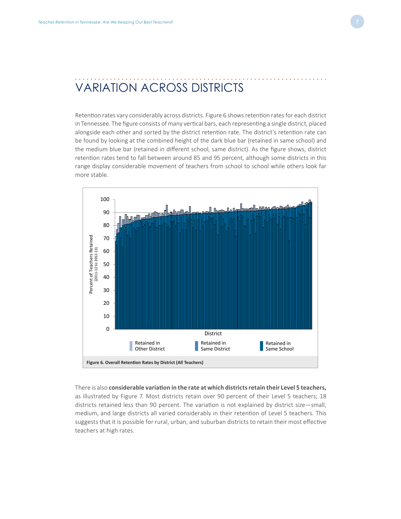#### VARIATION ACROSS DISTRICTS

Retention rates vary considerably across districts. Figure 6 shows retention rates for each district in Tennessee. The figure consists of many vertical bars, each representing a single district, placed alongside each other and sorted by the district retention rate. The district's retention rate can be found by looking at the combined height of the dark blue bar (retained in same school) and the medium blue bar (retained in different school, same district). As the figure shows, district retention rates tend to fall between around 85 and 95 percent, although some districts in this range display considerable movement of teachers from school to school while others look far more stable.



There is also **considerable variation in the rate at which districts retain their Level 5 teachers,** as illustrated by Figure 7. Most districts retain over 90 percent of their Level 5 teachers; 18 districts retained less than 90 percent. The variation is not explained by district size—small, medium, and large districts all varied considerably in their retention of Level 5 teachers. This suggests that it is possible for rural, urban, and suburban districts to retain their most effective teachers at high rates.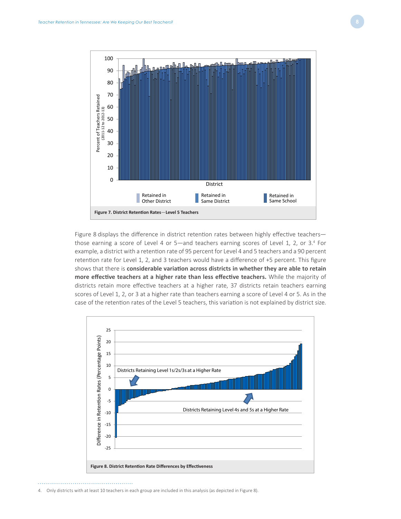

Figure 8 displays the difference in district retention rates between highly effective teachersthose earning a score of Level 4 or 5—and teachers earning scores of Level 1, 2, or 3.<sup>4</sup> For example, a district with a retention rate of 95 percent for Level 4 and 5 teachers and a 90 percent retention rate for Level 1, 2, and 3 teachers would have a difference of +5 percent. This figure shows that there is **considerable variation across districts in whether they are able to retain more effective teachers at a higher rate than less effective teachers.** While the majority of districts retain more effective teachers at a higher rate, 37 districts retain teachers earning scores of Level 1, 2, or 3 at a higher rate than teachers earning a score of Level 4 or 5. As in the case of the retention rates of the Level 5 teachers, this variation is not explained by district size.



<sup>4.</sup> Only districts with at least 10 teachers in each group are included in this analysis (as depicted in Figure 8).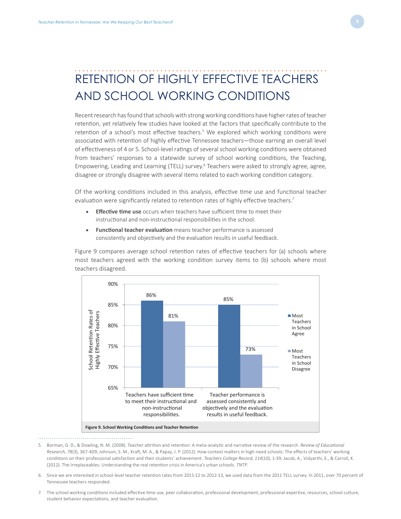

#### RETENTION OF HIGHLY EFFECTIVE TEACHERS AND SCHOOL WORKING CONDITIONS

Recent research has found that schools with strong working conditions have higher rates of teacher retention, yet relatively few studies have looked at the factors that specifically contribute to the retention of a school's most effective teachers.<sup>5</sup> We explored which working conditions were associated with retention of highly effective Tennessee teachers—those earning an overall level of effectiveness of 4 or 5. School-level ratings of several school working conditions were obtained from teachers' responses to a statewide survey of school working conditions, the Teaching, Empowering, Leading and Learning (TELL) survey.<sup>6</sup> Teachers were asked to strongly agree, agree, disagree or strongly disagree with several items related to each working condition category.

Of the working conditions included in this analysis, effective time use and functional teacher evaluation were significantly related to retention rates of highly effective teachers.<sup>7</sup>

- **Effective time use** occurs when teachers have sufficient time to meet their instructional and non-instructional responsibilities in the school.
- **Functional teacher evaluation** means teacher performance is assessed consistently and objectively and the evaluation results in useful feedback.

Figure 9 compares average school retention rates of effective teachers for (a) schools where most teachers agreed with the working condition survey items to (b) schools where most teachers disagreed.



- 
- 5. Borman, G. D., & Dowling, N. M. (2008). Teacher attrition and retention: A meta-analytic and narrative review of the research. *Review of Educational Research, 78*(3), 367-409; Johnson, S. M., Kraft, M. A., & Papay, J. P. (2012). How context matters in high-need schools: The effects of teachers' working conditions on their professional satisfaction and their students' achievement. *Teachers College Record, 114*(10), 1-39; Jacob, A., Vidyarthi, E., & Carroll, K. (2012). The Irreplaceables: Understanding the real retention crisis in America's urban schools. *TNTP*.
- 6. Since we are interested in school-level teacher retention rates from 2011-12 to 2012-13, we used data from the 2011 TELL survey. In 2011, over 70 percent of Tennessee teachers responded.
- 7. The school working conditions included effective time use, peer collaboration, professional development, professional expertise, resources, school culture, student behavior expectations, and teacher evaluation.